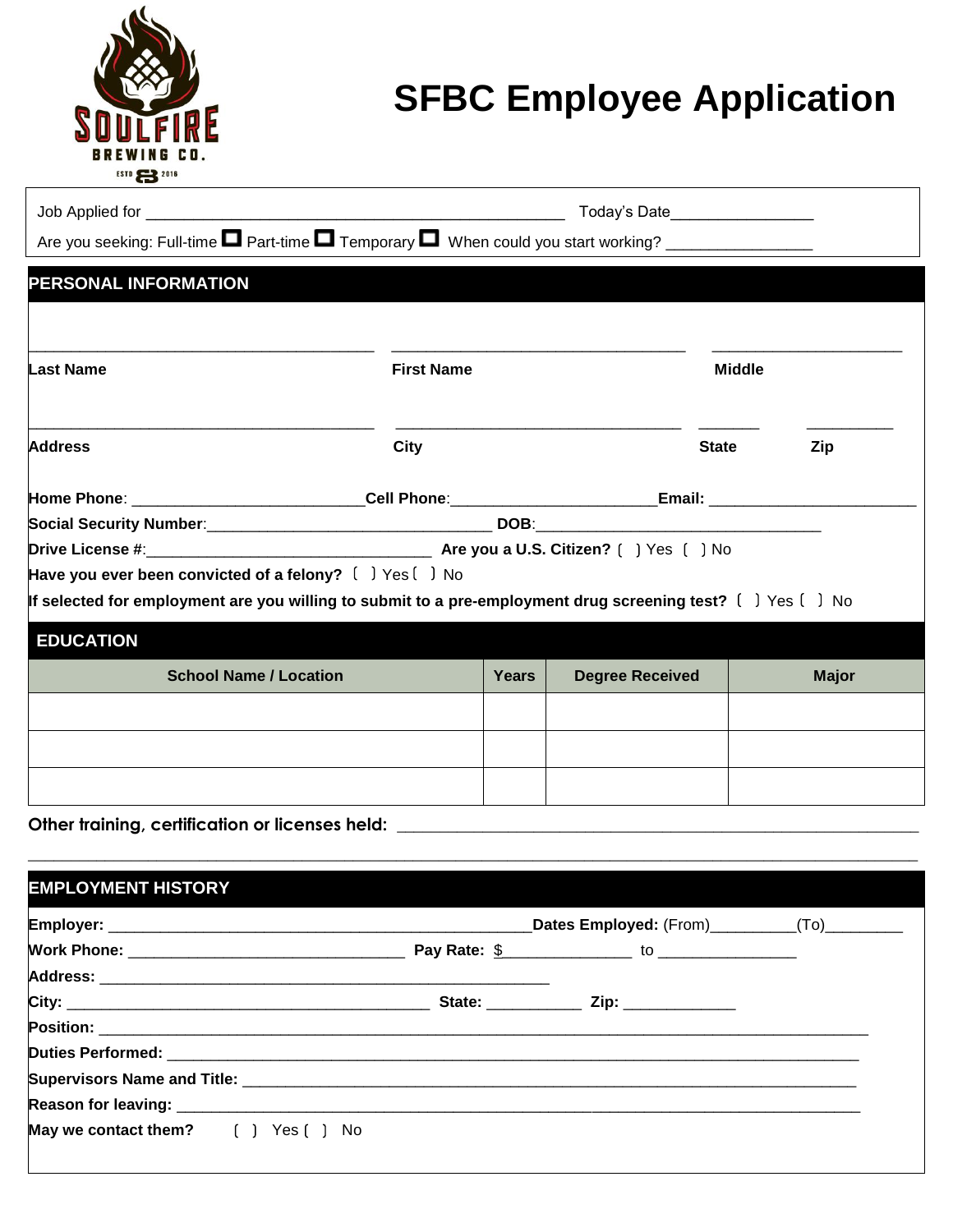

## **SFBC Employee Application**

| Are you seeking: Full-time <b>D</b> Part-time <b>D</b> Temporary <b>D</b> When could you start working? _________________ |                                                                                                                |                   | Today's Date____________________ |               |              |  |
|---------------------------------------------------------------------------------------------------------------------------|----------------------------------------------------------------------------------------------------------------|-------------------|----------------------------------|---------------|--------------|--|
| PERSONAL INFORMATION                                                                                                      |                                                                                                                |                   |                                  |               |              |  |
| <b>Last Name</b>                                                                                                          |                                                                                                                | <b>First Name</b> |                                  | <b>Middle</b> |              |  |
| <b>Address</b>                                                                                                            | City                                                                                                           |                   |                                  | <b>State</b>  | Zip          |  |
|                                                                                                                           | Home Phone: ______________________________Cell Phone: ___________________________Email: ______________________ |                   |                                  |               |              |  |
|                                                                                                                           |                                                                                                                |                   |                                  |               |              |  |
|                                                                                                                           |                                                                                                                |                   |                                  |               |              |  |
| Have you ever been convicted of a felony? $[$ $]$ $Yes$ $[$ $]$ No                                                        |                                                                                                                |                   |                                  |               |              |  |
| If selected for employment are you willing to submit to a pre-employment drug screening test? $[$ $]$ Yes $[$ $]$ No      |                                                                                                                |                   |                                  |               |              |  |
| <b>EDUCATION</b>                                                                                                          |                                                                                                                |                   |                                  |               |              |  |
| <b>School Name / Location</b>                                                                                             |                                                                                                                | Years             | <b>Degree Received</b>           |               | <b>Major</b> |  |
|                                                                                                                           |                                                                                                                |                   |                                  |               |              |  |
|                                                                                                                           |                                                                                                                |                   |                                  |               |              |  |
|                                                                                                                           |                                                                                                                |                   |                                  |               |              |  |
|                                                                                                                           |                                                                                                                |                   |                                  |               |              |  |

Other training, certification or licenses held: \_\_\_\_\_\_\_\_\_\_\_\_\_\_\_\_\_\_\_\_\_\_\_\_\_\_\_\_\_\_\_\_\_

| <b>EMPLOYMENT HISTORY</b>           |                                               |  |
|-------------------------------------|-----------------------------------------------|--|
|                                     | Dates Employed: (From)__________(To)_________ |  |
|                                     |                                               |  |
|                                     |                                               |  |
|                                     |                                               |  |
|                                     |                                               |  |
|                                     |                                               |  |
|                                     |                                               |  |
|                                     |                                               |  |
| May we contact them? [ ] Yes [ ] No |                                               |  |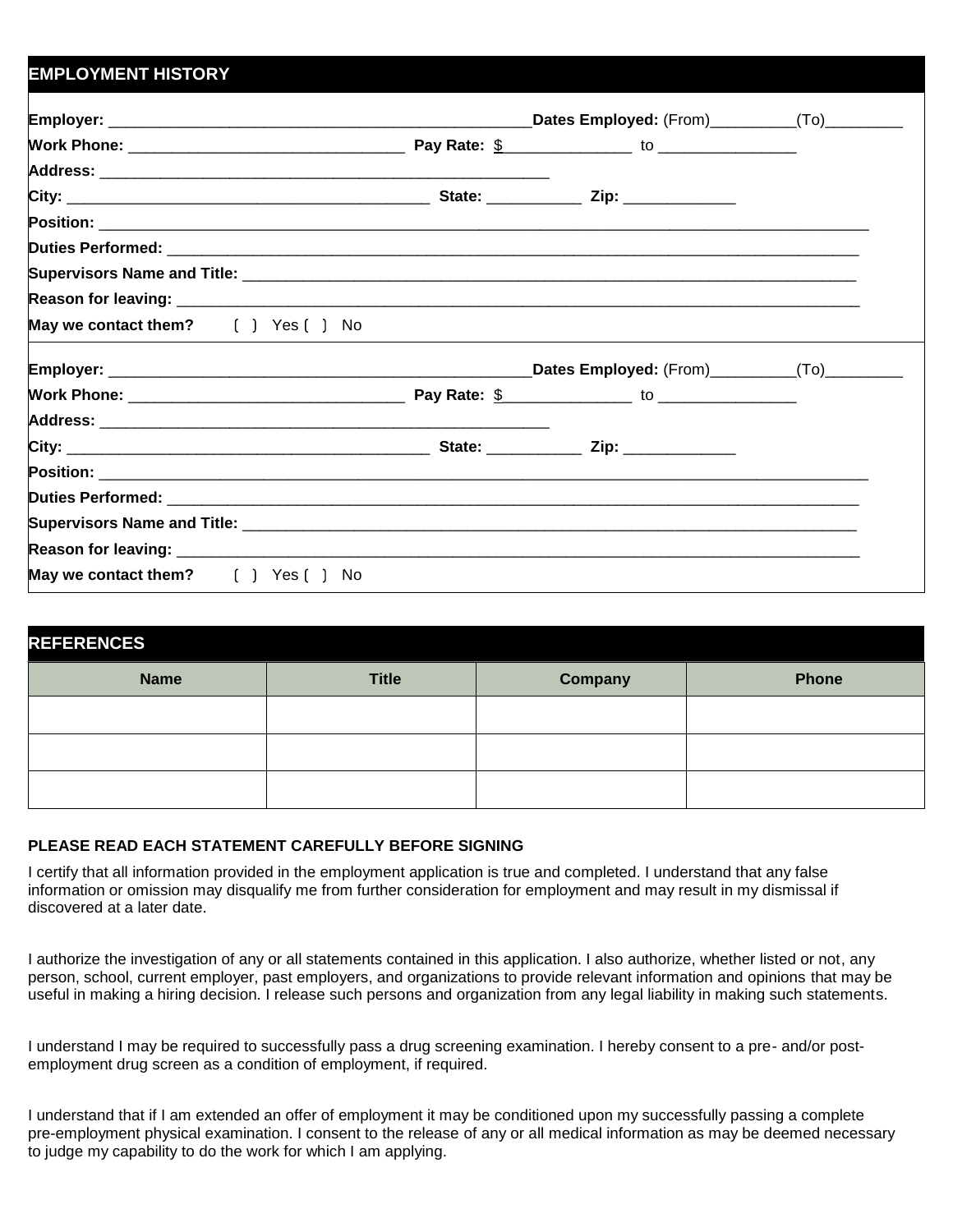## **EMPLOYMENT HISTORY Employer:** \_\_\_\_\_\_\_\_\_\_\_\_\_\_\_\_\_\_\_\_\_\_\_\_\_\_\_\_\_\_\_\_\_\_\_\_\_\_\_\_\_\_\_\_\_\_\_\_\_**Dates Employed:** (From)\_\_\_\_\_\_\_\_\_\_(To)\_\_\_\_\_\_\_\_\_ **Work Phone:** \_\_\_\_\_\_\_\_\_\_\_\_\_\_\_\_\_\_\_\_\_\_\_\_\_\_\_\_\_\_\_\_ **Pay Rate:** \$\_\_\_\_\_\_\_\_\_\_\_\_\_\_\_ to \_\_\_\_\_\_\_\_\_\_\_\_\_\_\_\_ **Address:** \_\_\_\_\_\_\_\_\_\_\_\_\_\_\_\_\_\_\_\_\_\_\_\_\_\_\_\_\_\_\_\_\_\_\_\_\_\_\_\_\_\_\_\_\_\_\_\_\_\_\_\_ **City:** \_\_\_\_\_\_\_\_\_\_\_\_\_\_\_\_\_\_\_\_\_\_\_\_\_\_\_\_\_\_\_\_\_\_\_\_\_\_\_\_\_\_ **State:** \_\_\_\_\_\_\_\_\_\_\_ **Zip:** \_\_\_\_\_\_\_\_\_\_\_\_\_ **Position: Duties Performed: Supervisors Name and Title: Reason for leaving: May we contact them?** ( ) Yes ( ) No **Employer:** \_\_\_\_\_\_\_\_\_\_\_\_\_\_\_\_\_\_\_\_\_\_\_\_\_\_\_\_\_\_\_\_\_\_\_\_\_\_\_\_\_\_\_\_\_\_\_\_\_**Dates Employed:** (From)\_\_\_\_\_\_\_\_\_\_(To)\_\_\_\_\_\_\_\_\_ **Work Phone:** \_\_\_\_\_\_\_\_\_\_\_\_\_\_\_\_\_\_\_\_\_\_\_\_\_\_\_\_\_\_\_\_ **Pay Rate:** \$\_\_\_\_\_\_\_\_\_\_\_\_\_\_\_ to \_\_\_\_\_\_\_\_\_\_\_\_\_\_\_\_ **Address:** \_\_\_\_\_\_\_\_\_\_\_\_\_\_\_\_\_\_\_\_\_\_\_\_\_\_\_\_\_\_\_\_\_\_\_\_\_\_\_\_\_\_\_\_\_\_\_\_\_\_\_\_ **City:** \_\_\_\_\_\_\_\_\_\_\_\_\_\_\_\_\_\_\_\_\_\_\_\_\_\_\_\_\_\_\_\_\_\_\_\_\_\_\_\_\_\_ **State:** \_\_\_\_\_\_\_\_\_\_\_ **Zip:** \_\_\_\_\_\_\_\_\_\_\_\_\_ **Position: Duties Performed: Supervisors Name and Title: Reason for leaving: May we contact them?** [ ] Yes [ ] No

| <b>REFERENCES</b> |              |         |              |  |  |  |
|-------------------|--------------|---------|--------------|--|--|--|
| <b>Name</b>       | <b>Title</b> | Company | <b>Phone</b> |  |  |  |
|                   |              |         |              |  |  |  |
|                   |              |         |              |  |  |  |
|                   |              |         |              |  |  |  |

## **PLEASE READ EACH STATEMENT CAREFULLY BEFORE SIGNING**

I certify that all information provided in the employment application is true and completed. I understand that any false information or omission may disqualify me from further consideration for employment and may result in my dismissal if discovered at a later date.

I authorize the investigation of any or all statements contained in this application. I also authorize, whether listed or not, any person, school, current employer, past employers, and organizations to provide relevant information and opinions that may be useful in making a hiring decision. I release such persons and organization from any legal liability in making such statements.

I understand I may be required to successfully pass a drug screening examination. I hereby consent to a pre- and/or postemployment drug screen as a condition of employment, if required.

I understand that if I am extended an offer of employment it may be conditioned upon my successfully passing a complete pre-employment physical examination. I consent to the release of any or all medical information as may be deemed necessary to judge my capability to do the work for which I am applying.